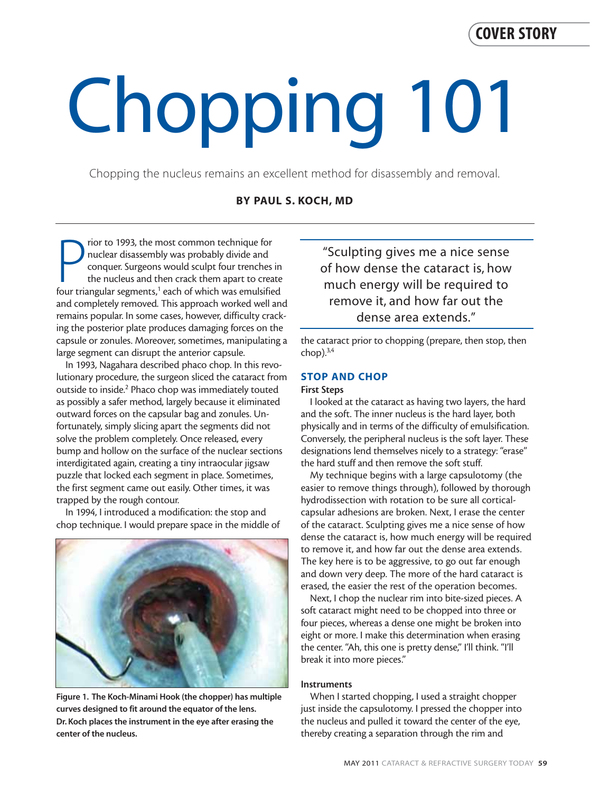# **COVER STORY**

# Chopping 101

Chopping the nucleus remains an excellent method for disassembly and removal.

# **BY PAUL S. KOCH, MD**

From the most common technique for nuclear disassembly was probably divide and conquer. Surgeons would sculpt four trenches in the nucleus and then crack them apart to create four triangular segments,<sup>1</sup> each of which was rior to 1993, the most common technique for nuclear disassembly was probably divide and conquer. Surgeons would sculpt four trenches in the nucleus and then crack them apart to create and completely removed. This approach worked well and remains popular. In some cases, however, difficulty cracking the posterior plate produces damaging forces on the capsule or zonules. Moreover, sometimes, manipulating a large segment can disrupt the anterior capsule.

In 1993, Nagahara described phaco chop. In this revolutionary procedure, the surgeon sliced the cataract from outside to inside.2 Phaco chop was immediately touted as possibly a safer method, largely because it eliminated outward forces on the capsular bag and zonules. Unfortunately, simply slicing apart the segments did not solve the problem completely. Once released, every bump and hollow on the surface of the nuclear sections interdigitated again, creating a tiny intraocular jigsaw puzzle that locked each segment in place. Sometimes, the first segment came out easily. Other times, it was trapped by the rough contour.

In 1994, I introduced a modification: the stop and chop technique. I would prepare space in the middle of



**Figure 1. The Koch-Minami Hook (the chopper) has multiple curves designed to fit around the equator of the lens. Dr. Koch places the instrument in the eye after erasing the center of the nucleus.**

"Sculpting gives me a nice sense of how dense the cataract is, how much energy will be required to remove it, and how far out the dense area extends."

the cataract prior to chopping (prepare, then stop, then chop $).$ <sup>3,4</sup>

## **STOP AND CHOP**

### **First Steps**

I looked at the cataract as having two layers, the hard and the soft. The inner nucleus is the hard layer, both physically and in terms of the difficulty of emulsification. Conversely, the peripheral nucleus is the soft layer. These designations lend themselves nicely to a strategy: "erase" the hard stuff and then remove the soft stuff.

My technique begins with a large capsulotomy (the easier to remove things through), followed by thorough hydrodissection with rotation to be sure all corticalcapsular adhesions are broken. Next, I erase the center of the cataract. Sculpting gives me a nice sense of how dense the cataract is, how much energy will be required to remove it, and how far out the dense area extends. The key here is to be aggressive, to go out far enough and down very deep. The more of the hard cataract is erased, the easier the rest of the operation becomes.

Next, I chop the nuclear rim into bite-sized pieces. A soft cataract might need to be chopped into three or four pieces, whereas a dense one might be broken into eight or more. I make this determination when erasing the center. "Ah, this one is pretty dense," I'll think. "I'll break it into more pieces."

### **Instruments**

When I started chopping, I used a straight chopper just inside the capsulotomy. I pressed the chopper into the nucleus and pulled it toward the center of the eye, thereby creating a separation through the rim and